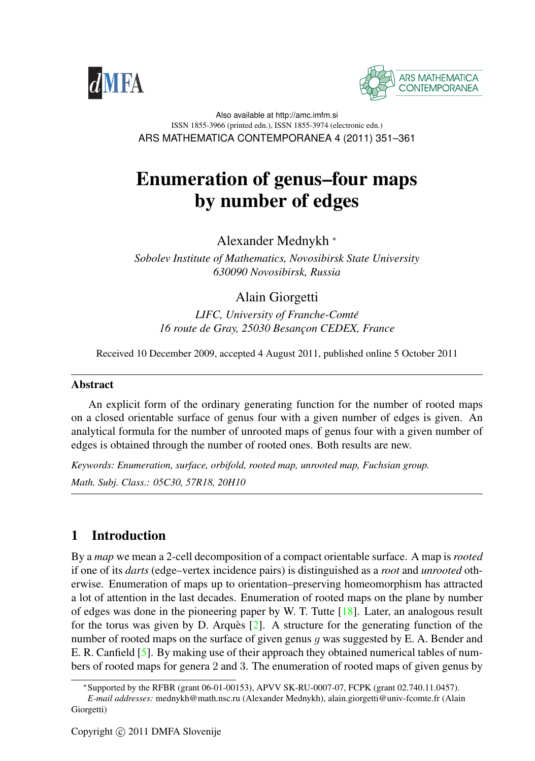



Also available at http://amc.imfm.si ISSN 1855-3966 (printed edn.), ISSN 1855-3974 (electronic edn.) ARS MATHEMATICA CONTEMPORANEA 4 (2011) 351–361

# Enumeration of genus–four maps by number of edges

Alexander Mednykh <sup>∗</sup>

*Sobolev Institute of Mathematics, Novosibirsk State University 630090 Novosibirsk, Russia*

# Alain Giorgetti

*LIFC, University of Franche-Comte´* 16 route de Gray, 25030 Besancon CEDEX, France

Received 10 December 2009, accepted 4 August 2011, published online 5 October 2011

### Abstract

An explicit form of the ordinary generating function for the number of rooted maps on a closed orientable surface of genus four with a given number of edges is given. An analytical formula for the number of unrooted maps of genus four with a given number of edges is obtained through the number of rooted ones. Both results are new.

*Keywords: Enumeration, surface, orbifold, rooted map, unrooted map, Fuchsian group. Math. Subj. Class.: 05C30, 57R18, 20H10*

# 1 Introduction

By a *map* we mean a 2-cell decomposition of a compact orientable surface. A map is *rooted* if one of its *darts* (edge–vertex incidence pairs) is distinguished as a *root* and *unrooted* otherwise. Enumeration of maps up to orientation–preserving homeomorphism has attracted a lot of attention in the last decades. Enumeration of rooted maps on the plane by number of edges was done in the pioneering paper by W. T. Tutte  $[18]$ . Later, an analogous result for the torus was given by D. Arques  $\lceil 2 \rceil$ . A structure for the generating function of the number of rooted maps on the surface of given genus  $q$  was suggested by E. A. Bender and E. R. Canfield [\[5\]](#page-9-2). By making use of their approach they obtained numerical tables of numbers of rooted maps for genera 2 and 3. The enumeration of rooted maps of given genus by

<sup>∗</sup>Supported by the RFBR (grant 06-01-00153), APVV SK-RU-0007-07, FCPK (grant 02.740.11.0457).

*E-mail addresses:* mednykh@math.nsc.ru (Alexander Mednykh), alain.giorgetti@univ-fcomte.fr (Alain Giorgetti)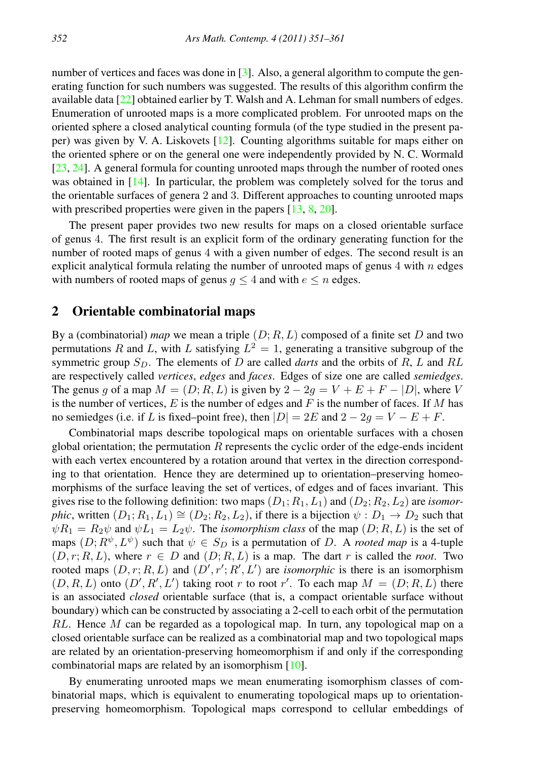number of vertices and faces was done in [\[3\]](#page-9-3). Also, a general algorithm to compute the generating function for such numbers was suggested. The results of this algorithm confirm the available data [\[22\]](#page-10-0) obtained earlier by T. Walsh and A. Lehman for small numbers of edges. Enumeration of unrooted maps is a more complicated problem. For unrooted maps on the oriented sphere a closed analytical counting formula (of the type studied in the present paper) was given by V. A. Liskovets [\[12\]](#page-9-4). Counting algorithms suitable for maps either on the oriented sphere or on the general one were independently provided by N. C. Wormald [\[23,](#page-10-1) [24\]](#page-10-2). A general formula for counting unrooted maps through the number of rooted ones was obtained in [\[14\]](#page-9-5). In particular, the problem was completely solved for the torus and the orientable surfaces of genera 2 and 3. Different approaches to counting unrooted maps with prescribed properties were given in the papers  $[13, 8, 20]$  $[13, 8, 20]$  $[13, 8, 20]$  $[13, 8, 20]$  $[13, 8, 20]$ .

The present paper provides two new results for maps on a closed orientable surface of genus 4. The first result is an explicit form of the ordinary generating function for the number of rooted maps of genus 4 with a given number of edges. The second result is an explicit analytical formula relating the number of unrooted maps of genus  $4$  with  $n$  edges with numbers of rooted maps of genus  $q \leq 4$  and with  $e \leq n$  edges.

## 2 Orientable combinatorial maps

By a (combinatorial) *map* we mean a triple  $(D; R, L)$  composed of a finite set D and two permutations R and L, with L satisfying  $L^2 = 1$ , generating a transitive subgroup of the symmetric group  $S_D$ . The elements of D are called *darts* and the orbits of R, L and RL are respectively called *vertices*, *edges* and *faces*. Edges of size one are called *semiedges*. The genus g of a map  $M = (D; R, L)$  is given by  $2 - 2g = V + E + F - |D|$ , where V is the number of vertices,  $E$  is the number of edges and  $F$  is the number of faces. If M has no semiedges (i.e. if L is fixed–point free), then  $|D| = 2E$  and  $2 - 2g = V - E + F$ .

Combinatorial maps describe topological maps on orientable surfaces with a chosen global orientation; the permutation  $R$  represents the cyclic order of the edge-ends incident with each vertex encountered by a rotation around that vertex in the direction corresponding to that orientation. Hence they are determined up to orientation–preserving homeomorphisms of the surface leaving the set of vertices, of edges and of faces invariant. This gives rise to the following definition: two maps  $(D_1; R_1, L_1)$  and  $(D_2; R_2, L_2)$  are *isomorphic*, written  $(D_1; R_1, L_1) \cong (D_2; R_2, L_2)$ , if there is a bijection  $\psi : D_1 \to D_2$  such that  $\psi R_1 = R_2 \psi$  and  $\psi L_1 = L_2 \psi$ . The *isomorphism class* of the map  $(D; R, L)$  is the set of maps  $(D; R^{\psi}, L^{\psi})$  such that  $\psi \in S_D$  is a permutation of D. A *rooted map* is a 4-tuple  $(D, r; R, L)$ , where  $r \in D$  and  $(D; R, L)$  is a map. The dart r is called the *root*. Two rooted maps  $(D, r; R, L)$  and  $(D', r'; R', L')$  are *isomorphic* is there is an isomorphism  $(D, R, L)$  onto  $(D', R', L')$  taking root r to root r'. To each map  $M = (D, R, L)$  there is an associated *closed* orientable surface (that is, a compact orientable surface without boundary) which can be constructed by associating a 2-cell to each orbit of the permutation  $RL$ . Hence M can be regarded as a topological map. In turn, any topological map on a closed orientable surface can be realized as a combinatorial map and two topological maps are related by an orientation-preserving homeomorphism if and only if the corresponding combinatorial maps are related by an isomorphism [\[10\]](#page-9-9).

By enumerating unrooted maps we mean enumerating isomorphism classes of combinatorial maps, which is equivalent to enumerating topological maps up to orientationpreserving homeomorphism. Topological maps correspond to cellular embeddings of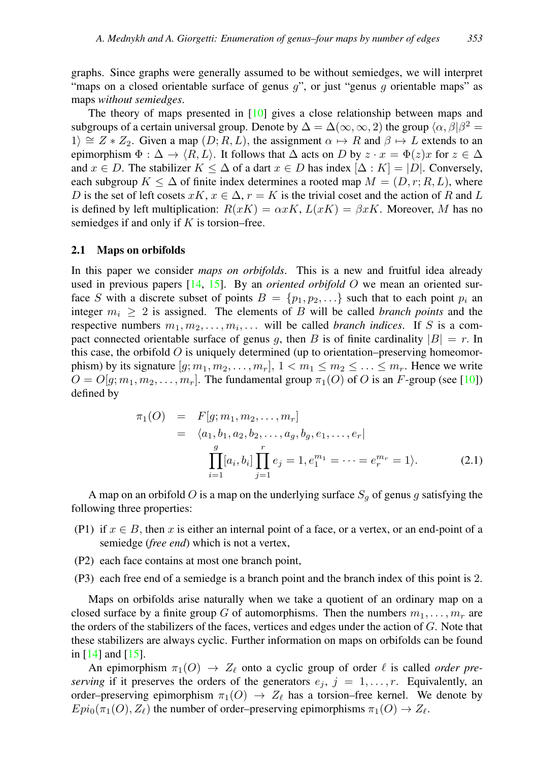graphs. Since graphs were generally assumed to be without semiedges, we will interpret "maps on a closed orientable surface of genus  $q$ ", or just "genus  $q$  orientable maps" as maps *without semiedges*.

The theory of maps presented in [\[10\]](#page-9-9) gives a close relationship between maps and subgroups of a certain universal group. Denote by  $\Delta = \Delta(\infty, \infty, 2)$  the group  $\langle \alpha, \beta | \beta^2 =$ 1)  $\cong$  Z ∗ Z<sub>2</sub>. Given a map  $(D; R, L)$ , the assignment  $\alpha \mapsto R$  and  $\beta \mapsto L$  extends to an epimorphism  $\Phi : \Delta \to \langle R, L \rangle$ . It follows that  $\Delta$  acts on D by  $z \cdot x = \Phi(z)x$  for  $z \in \Delta$ and  $x \in D$ . The stabilizer  $K \leq \Delta$  of a dart  $x \in D$  has index  $[\Delta : K] = |D|$ . Conversely, each subgroup  $K \leq \Delta$  of finite index determines a rooted map  $M = (D, r; R, L)$ , where D is the set of left cosets  $xK$ ,  $x \in \Delta$ ,  $r = K$  is the trivial coset and the action of R and L is defined by left multiplication:  $R(xK) = \alpha xK$ ,  $L(xK) = \beta xK$ . Moreover, M has no semiedges if and only if  $K$  is torsion–free.

#### 2.1 Maps on orbifolds

In this paper we consider *maps on orbifolds*. This is a new and fruitful idea already used in previous papers [\[14,](#page-9-5) [15\]](#page-9-10). By an *oriented orbifold* O we mean an oriented surface S with a discrete subset of points  $B = \{p_1, p_2, ...\}$  such that to each point  $p_i$  and integer  $m_i \geq 2$  is assigned. The elements of B will be called *branch points* and the respective numbers  $m_1, m_2, \ldots, m_i, \ldots$  will be called *branch indices*. If S is a compact connected orientable surface of genus g, then B is of finite cardinality  $|B| = r$ . In this case, the orbifold  $O$  is uniquely determined (up to orientation–preserving homeomorphism) by its signature  $[g; m_1, m_2, \ldots, m_r]$ ,  $1 < m_1 \le m_2 \le \ldots \le m_r$ . Hence we write  $O = O[g; m_1, m_2, \dots, m_r]$ . The fundamental group  $\pi_1(O)$  of O is an F-group (see [\[10\]](#page-9-9)) defined by

$$
\pi_1(O) = F[g; m_1, m_2, \dots, m_r]
$$
  
=  $\langle a_1, b_1, a_2, b_2, \dots, a_g, b_g, e_1, \dots, e_r |$   

$$
\prod_{i=1}^g [a_i, b_i] \prod_{j=1}^r e_j = 1, e_1^{m_1} = \dots = e_r^{m_r} = 1 \rangle.
$$
 (2.1)

A map on an orbifold O is a map on the underlying surface  $S_q$  of genus g satisfying the following three properties:

- (P1) if  $x \in B$ , then x is either an internal point of a face, or a vertex, or an end-point of a semiedge (*free end*) which is not a vertex,
- (P2) each face contains at most one branch point,
- (P3) each free end of a semiedge is a branch point and the branch index of this point is 2.

Maps on orbifolds arise naturally when we take a quotient of an ordinary map on a closed surface by a finite group G of automorphisms. Then the numbers  $m_1, \ldots, m_r$  are the orders of the stabilizers of the faces, vertices and edges under the action of  $G$ . Note that these stabilizers are always cyclic. Further information on maps on orbifolds can be found in [\[14\]](#page-9-5) and [\[15\]](#page-9-10).

An epimorphism  $\pi_1(O) \to Z_\ell$  onto a cyclic group of order  $\ell$  is called *order preserving* if it preserves the orders of the generators  $e_j$ ,  $j = 1, \ldots, r$ . Equivalently, an order–preserving epimorphism  $\pi_1(O) \to Z_\ell$  has a torsion–free kernel. We denote by  $Epi_0(\pi_1(O), Z_\ell)$  the number of order–preserving epimorphisms  $\pi_1(O) \to Z_\ell$ .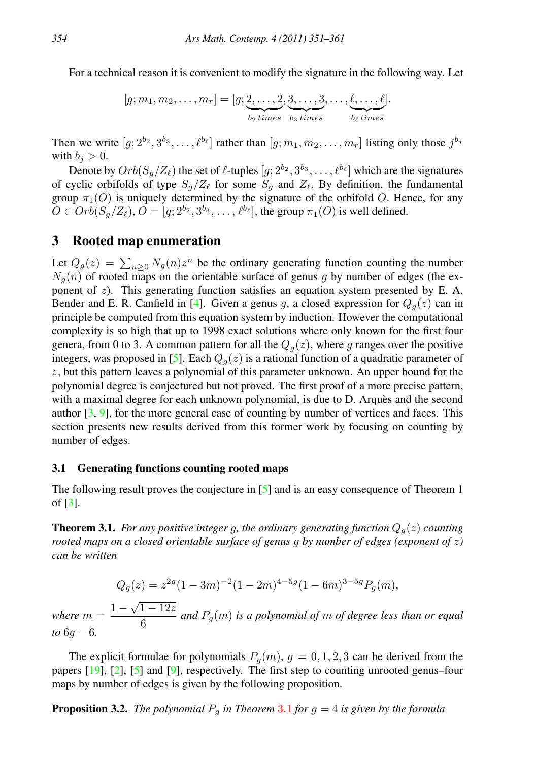For a technical reason it is convenient to modify the signature in the following way. Let

$$
[g; m_1, m_2, \ldots, m_r] = [g; \underbrace{2, \ldots, 2}_{b_2 \text{ times}}, \underbrace{3, \ldots, 3}_{b_3 \text{ times}}, \ldots, \underbrace{\ell, \ldots, \ell}_{b_\ell \text{ times}}].
$$

Then we write  $[g; 2^{b_2}, 3^{b_3}, \dots, \ell^{b_\ell}]$  rather than  $[g; m_1, m_2, \dots, m_r]$  listing only those  $j^{b_j}$ with  $b_i > 0$ .

Denote by  $Orb(S_g/Z_\ell)$  the set of  $\ell$ -tuples  $[g; 2^{b_2}, 3^{b_3}, \dots, \ell^{b_\ell}]$  which are the signatures of cyclic orbifolds of type  $S_g/Z_\ell$  for some  $S_g$  and  $Z_\ell$ . By definition, the fundamental group  $\pi_1(O)$  is uniquely determined by the signature of the orbifold O. Hence, for any  $O \in Orb(S_g/Z_\ell), O = [g; 2^{b_2}, 3^{b_3}, \ldots, \ell^{b_\ell}],$  the group  $\pi_1(O)$  is well defined.

## 3 Rooted map enumeration

Let  $Q_g(z) = \sum_{n\geq 0} N_g(n)z^n$  be the ordinary generating function counting the number  $N_g(n)$  of rooted maps on the orientable surface of genus g by number of edges (the exponent of  $z$ ). This generating function satisfies an equation system presented by E. A. Bender and E. R. Canfield in [\[4\]](#page-9-11). Given a genus g, a closed expression for  $Q_q(z)$  can in principle be computed from this equation system by induction. However the computational complexity is so high that up to 1998 exact solutions where only known for the first four genera, from 0 to 3. A common pattern for all the  $Q_q(z)$ , where g ranges over the positive integers, was proposed in [\[5\]](#page-9-2). Each  $Q_q(z)$  is a rational function of a quadratic parameter of  $z$ , but this pattern leaves a polynomial of this parameter unknown. An upper bound for the polynomial degree is conjectured but not proved. The first proof of a more precise pattern, with a maximal degree for each unknown polynomial, is due to D. Arques and the second author  $[3, 9]$  $[3, 9]$  $[3, 9]$ , for the more general case of counting by number of vertices and faces. This section presents new results derived from this former work by focusing on counting by number of edges.

#### 3.1 Generating functions counting rooted maps

The following result proves the conjecture in [\[5\]](#page-9-2) and is an easy consequence of Theorem 1 of [\[3\]](#page-9-3).

<span id="page-3-0"></span>**Theorem 3.1.** *For any positive integer g, the ordinary generating function*  $Q_q(z)$  *counting rooted maps on a closed orientable surface of genus* g *by number of edges (exponent of* z*) can be written*

$$
Q_g(z) = z^{2g} (1 - 3m)^{-2} (1 - 2m)^{4 - 5g} (1 - 6m)^{3 - 5g} P_g(m),
$$

*where*  $m = \frac{1 - \sqrt{1 - 12z}}{c}$  $\frac{4}{6}$  and  $P_g(m)$  *is a polynomial of* m *of degree less than or equal to* 6g − 6*.*

The explicit formulae for polynomials  $P_q(m)$ ,  $q = 0, 1, 2, 3$  can be derived from the papers [\[19\]](#page-9-13), [\[2\]](#page-9-1), [\[5\]](#page-9-2) and [\[9\]](#page-9-12), respectively. The first step to counting unrooted genus–four maps by number of edges is given by the following proposition.

<span id="page-3-1"></span>**Proposition [3](#page-3-0).2.** *The polynomial*  $P_q$  *in Theorem* 3.1 *for*  $q = 4$  *is given by the formula*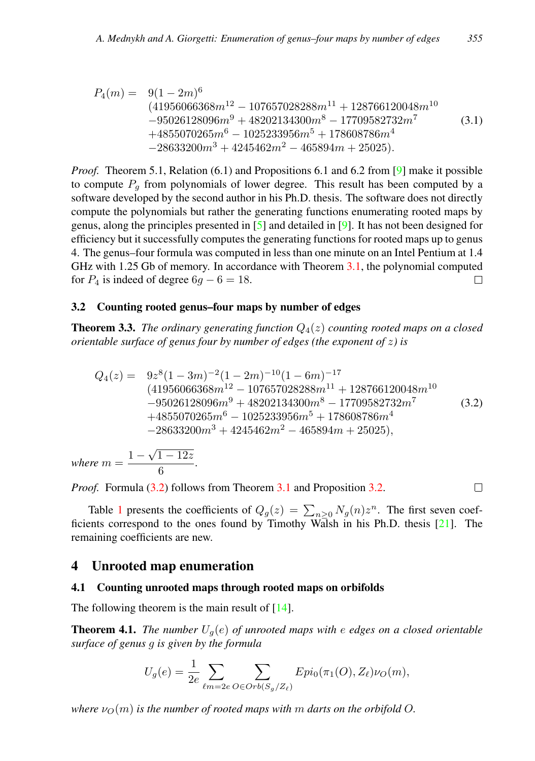$$
P_4(m) = 9(1 - 2m)^6
$$
  
\n
$$
(41956066368m^{12} - 107657028288m^{11} + 128766120048m^{10}
$$
  
\n
$$
-95026128096m^9 + 48202134300m^8 - 17709582732m^7
$$
  
\n
$$
+4855070265m^6 - 1025233956m^5 + 178608786m^4
$$
  
\n
$$
-28633200m^3 + 4245462m^2 - 465894m + 25025).
$$
  
\n(3.1)

*Proof.* Theorem 5.1, Relation (6.1) and Propositions 6.1 and 6.2 from [\[9\]](#page-9-12) make it possible to compute  $P<sub>q</sub>$  from polynomials of lower degree. This result has been computed by a software developed by the second author in his Ph.D. thesis. The software does not directly compute the polynomials but rather the generating functions enumerating rooted maps by genus, along the principles presented in [\[5\]](#page-9-2) and detailed in [\[9\]](#page-9-12). It has not been designed for efficiency but it successfully computes the generating functions for rooted maps up to genus 4. The genus–four formula was computed in less than one minute on an Intel Pentium at 1.4 GHz with 1.25 Gb of memory. In accordance with Theorem [3.1,](#page-3-0) the polynomial computed for  $P_4$  is indeed of degree  $6q - 6 = 18$ . П

#### 3.2 Counting rooted genus–four maps by number of edges

**Theorem 3.3.** *The ordinary generating function*  $Q_4(z)$  *counting rooted maps on a closed orientable surface of genus four by number of edges (the exponent of* z*) is*

<span id="page-4-0"></span>
$$
Q_4(z) = 9z^8(1-3m)^{-2}(1-2m)^{-10}(1-6m)^{-17}
$$
  
\n
$$
(41956066368m^{12} - 107657028288m^{11} + 128766120048m^{10}
$$
  
\n
$$
-95026128096m^9 + 48202134300m^8 - 17709582732m^7
$$
  
\n
$$
+4855070265m^6 - 1025233956m^5 + 178608786m^4
$$
  
\n
$$
-28633200m^3 + 4245462m^2 - 465894m + 25025),
$$
 (3.2)

 $\Box$ 

*where*  $m = \frac{1 - \sqrt{1 - 12z}}{c}$  $\frac{1}{6}$ .

*Proof.* Formula [\(3.2\)](#page-4-0) follows from Theorem [3.1](#page-3-0) and Proposition [3.2.](#page-3-1)

Table [1](#page-5-0) presents the coefficients of  $Q_g(z) = \sum_{n\geq 0} N_g(n)z^n$ . The first seven coefficients correspond to the ones found by Timothy Walsh in his Ph.D. thesis [\[21\]](#page-9-14). The remaining coefficients are new.

#### 4 Unrooted map enumeration

#### 4.1 Counting unrooted maps through rooted maps on orbifolds

The following theorem is the main result of  $[14]$ .

<span id="page-4-1"></span>**Theorem 4.1.** *The number*  $U_q(e)$  *of unrooted maps with e edges on a closed orientable surface of genus* g *is given by the formula*

$$
U_g(e) = \frac{1}{2e} \sum_{\ell m = 2e} \sum_{O \in Orb(S_g/Z_{\ell})} Epi_0(\pi_1(O), Z_{\ell})\nu_O(m),
$$

*where*  $\nu_{\Omega}(m)$  *is the number of rooted maps with* m *darts on the orbifold* O.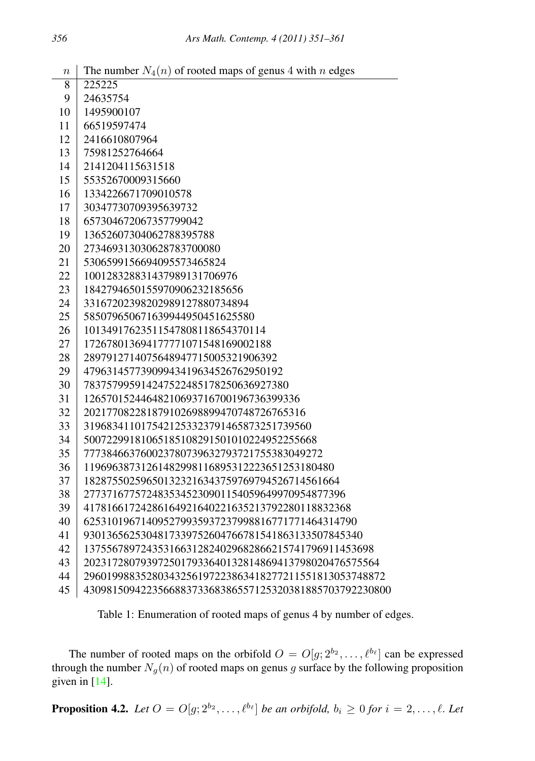| ., | AIS Main. Contemp. $\pm$ (2011) 331–301                             |
|----|---------------------------------------------------------------------|
|    |                                                                     |
|    | $n \mid$ The number $N_4(n)$ of rooted maps of genus 4 with n edges |
|    | 8 225225                                                            |
|    | $0 \mid 24625754$                                                   |

| 9  | 24635754                                               |
|----|--------------------------------------------------------|
| 10 | 1495900107                                             |
| 11 | 66519597474                                            |
| 12 | 2416610807964                                          |
| 13 | 75981252764664                                         |
| 14 | 2141204115631518                                       |
| 15 | 55352670009315660                                      |
| 16 | 1334226671709010578                                    |
| 17 | 30347730709395639732                                   |
| 18 | 657304672067357799042                                  |
| 19 | 13652607304062788395788                                |
| 20 | 273469313030628783700080                               |
| 21 | 5306599156694095573465824                              |
| 22 | 100128328831437989131706976                            |
| 23 | 1842794650155970906232185656                           |
| 24 | 33167202398202989127880734894                          |
| 25 | 585079650671639944950451625580                         |
| 26 | 10134917623511547808118654370114                       |
| 27 | 172678013694177771071548169002188                      |
| 28 | 2897912714075648947715005321906392                     |
| 29 | 47963145773909943419634526762950192                    |
| 30 | 783757995914247522485178250636927380                   |
| 31 | 12657015244648210693716700196736399336                 |
| 32 | 202177082281879102698899470748726765316                |
| 33 | 3196834110175421253323791465873251739560               |
| 34 | 50072299181065185108291501010224952255668              |
| 35 | 777384663760023780739632793721755383049272             |
| 36 | 11969638731261482998116895312223651253180480           |
| 37 | 182875502596501323216343759769794526714561664          |
| 38 | 2773716775724835345230901154059649970954877396         |
| 39 | 41781661724286164921640221635213792280118832368        |
| 40 | 625310196714095279935937237998816771771464314790       |
| 41 | 9301365625304817339752604766781541863133507845340      |
| 42 | 137556789724353166312824029682866215741796911453698    |
| 43 | 2023172807939725017933640132814869413798020476575564   |
| 44 | 29601998835280343256197223863418277211551813053748872  |
| 45 | 430981509422356688373368386557125320381885703792230800 |

<span id="page-5-0"></span>Table 1: Enumeration of rooted maps of genus 4 by number of edges.

The number of rooted maps on the orbifold  $O = O[g; 2^{b_2}, \dots, \ell^{b_\ell}]$  can be expressed through the number  $N_g(n)$  of rooted maps on genus g surface by the following proposition given in  $[14]$ .

<span id="page-5-1"></span>**Proposition 4.2.** Let  $O = O[g; 2^{b_2}, \ldots, \ell^{b_\ell}]$  be an orbifold,  $b_i \geq 0$  for  $i = 2, \ldots, \ell$ . Let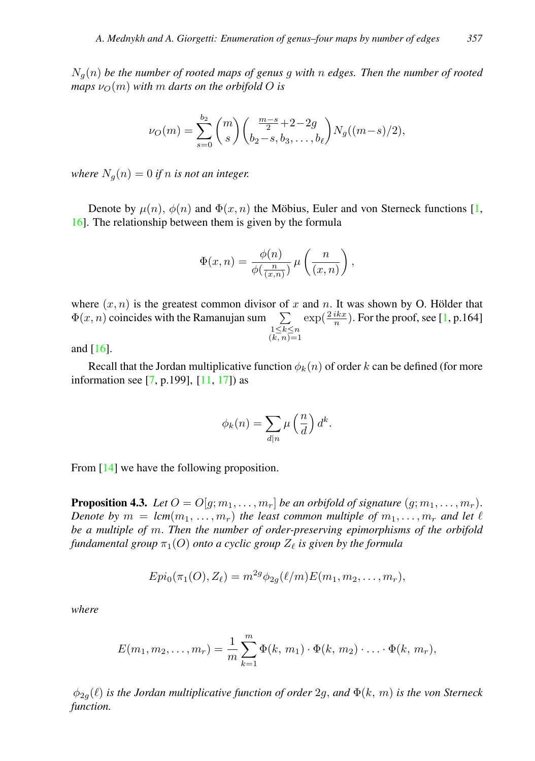Ng(n) *be the number of rooted maps of genus* g *with* n *edges. Then the number of rooted maps*  $\nu_{\Omega}(m)$  *with* m *darts on the orbifold* O *is* 

$$
\nu_O(m) = \sum_{s=0}^{b_2} {m \choose s} {m-s \over 2} + 2 - 2g \choose b_2 - s, b_3, \dots, b_\ell} N_g((m-s)/2),
$$

*where*  $N_a(n) = 0$  *if n is not an integer.* 

Denote by  $\mu(n)$ ,  $\phi(n)$  and  $\Phi(x, n)$  the Möbius, Euler and von Sterneck functions [[1,](#page-9-15) [16\]](#page-9-16). The relationship between them is given by the formula

$$
\Phi(x,n) = \frac{\phi(n)}{\phi(\frac{n}{(x,n)})} \mu\left(\frac{n}{(x,n)}\right),\,
$$

where  $(x, n)$  is the greatest common divisor of x and n. It was shown by O. Hölder that  $\Phi(x, n)$  coincides with the Ramanujan sum  $\sum$  $\substack{1 \leq k \leq n \\ (k, n) = 1}$  $\exp(\frac{2ikx}{n})$ . For the proof, see [\[1,](#page-9-15) p.164]

and [\[16\]](#page-9-16).

Recall that the Jordan multiplicative function  $\phi_k(n)$  of order k can be defined (for more information see [\[7,](#page-9-17) p.199], [\[11,](#page-9-18) [17\]](#page-9-19)) as

$$
\phi_k(n) = \sum_{d|n} \mu\left(\frac{n}{d}\right) d^k.
$$

From [\[14\]](#page-9-5) we have the following proposition.

<span id="page-6-0"></span>**Proposition 4.3.** Let  $O = O[g; m_1, \ldots, m_r]$  be an orbifold of signature  $(g; m_1, \ldots, m_r)$ . *Denote by*  $m = lcm(m_1, ..., m_r)$  *the least common multiple of*  $m_1, ..., m_r$  *and let*  $\ell$ *be a multiple of* m. *Then the number of order-preserving epimorphisms of the orbifold fundamental group*  $\pi_1(O)$  *onto a cyclic group*  $Z_\ell$  *is given by the formula* 

$$
Epi_0(\pi_1(O), Z_\ell) = m^{2g} \phi_{2g}(\ell/m) E(m_1, m_2, \ldots, m_r),
$$

*where*

$$
E(m_1, m_2, \dots, m_r) = \frac{1}{m} \sum_{k=1}^{m} \Phi(k, m_1) \cdot \Phi(k, m_2) \cdot \dots \cdot \Phi(k, m_r),
$$

 $\phi_{2g}(\ell)$  *is the Jordan multiplicative function of order* 2g, *and*  $\Phi(k, m)$  *is the von Sterneck function.*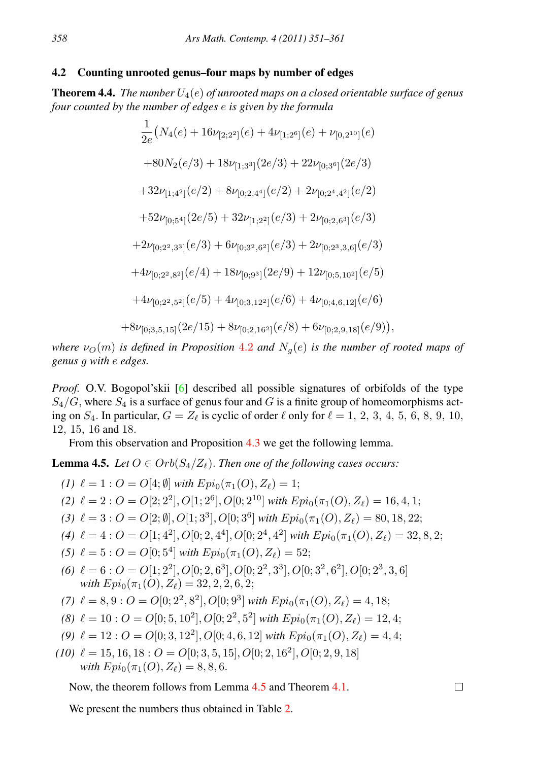#### 4.2 Counting unrooted genus–four maps by number of edges

**Theorem 4.4.** *The number*  $U_4(e)$  *of unrooted maps on a closed orientable surface of genus four counted by the number of edges* e *is given by the formula*

$$
\frac{1}{2e}(N_4(e) + 16\nu_{[2;2^2]}(e) + 4\nu_{[1;2^6]}(e) + \nu_{[0,2^{10}]}(e) \n+ 80N_2(e/3) + 18\nu_{[1;3^3]}(2e/3) + 22\nu_{[0;3^6]}(2e/3) \n+ 32\nu_{[1;4^2]}(e/2) + 8\nu_{[0;2,4^4]}(e/2) + 2\nu_{[0;2^4,4^2]}(e/2) \n+ 52\nu_{[0;5^4]}(2e/5) + 32\nu_{[1;2^2]}(e/3) + 2\nu_{[0;2,6^3]}(e/3) \n+ 2\nu_{[0;2^2,3^3]}(e/3) + 6\nu_{[0;3^2,6^2]}(e/3) + 2\nu_{[0;2^3,3,6]}(e/3) \n+ 4\nu_{[0;2^2,8^2]}(e/4) + 18\nu_{[0;9^3]}(2e/9) + 12\nu_{[0;5,10^2]}(e/5) \n+ 4\nu_{[0;2^2,5^2]}(e/5) + 4\nu_{[0;3,12^2]}(e/6) + 4\nu_{[0;4,6,12]}(e/6) \n+ 8\nu_{[0;3,5,15]}(2e/15) + 8\nu_{[0;2,16^2]}(e/8) + 6\nu_{[0;2,9,18]}(e/9)),
$$

*where*  $\nu_0(m)$  *is defined in Proposition* [4](#page-5-1).2 *and*  $N_q(e)$  *is the number of rooted maps of genus* g *with* e *edges.*

*Proof.* O.V. Bogopol'skii [\[6\]](#page-9-20) described all possible signatures of orbifolds of the type  $S_4/G$ , where  $S_4$  is a surface of genus four and G is a finite group of homeomorphisms acting on  $S_4$ . In particular,  $G = Z_\ell$  is cyclic of order  $\ell$  only for  $\ell = 1, 2, 3, 4, 5, 6, 8, 9, 10$ , 12, 15, 16 and 18.

From this observation and Proposition [4.3](#page-6-0) we get the following lemma.

<span id="page-7-0"></span>**Lemma 4.5.** *Let*  $O \in Orb(S_4/Z_{\ell})$ . *Then one of the following cases occurs:* 

- *(1)*  $\ell = 1 : O = O[4; \emptyset]$  *with*  $Epi_0(\pi_1(O), Z_\ell) = 1$ ;
- *(2)*  $\ell = 2: O = O[2; 2^2], O[1; 2^6], O[0; 2^{10}]$  *with*  $Epi_0(\pi_1(O), Z_{\ell}) = 16, 4, 1;$
- *(3)*  $\ell = 3: O = O[2; \emptyset], O[1; 3^3], O[0; 3^6]$  *with*  $Epi_0(\pi_1(O), Z_\ell) = 80, 18, 22;$
- *(4)*  $\ell = 4: O = O[1; 4^2], O[0; 2, 4^4], O[0; 2^4, 4^2]$  *with*  $Epi_0(\pi_1(O), Z_\ell) = 32, 8, 2;$

 $\Box$ 

- *(5)*  $\ell = 5 : O = O[0; 5^4]$  *with*  $Epi_0(\pi_1(O), Z_\ell) = 52;$
- (6)  $\ell = 6: O = O[1; 2^2], O[0; 2, 6^3], O[0; 2^2, 3^3], O[0; 3^2, 6^2], O[0; 2^3, 3, 6]$ *with*  $Epi_0(\pi_1(O), Z_\ell) = 32, 2, 2, 6, 2;$
- *(7)*  $\ell = 8, 9 : O = O[0; 2^2, 8^2], O[0; 9^3]$  *with*  $Epi_0(\pi_1(O), Z_{\ell}) = 4, 18;$
- *(8)*  $\ell = 10 : O = O[0; 5, 10^2], O[0; 2^2, 5^2]$  *with*  $Epi_0(\pi_1(O), Z_\ell) = 12, 4;$
- *(9)*  $\ell = 12 : O = O[0; 3, 12^2], O[0; 4, 6, 12]$  *with*  $Epi_0(\pi_1(O), Z_\ell) = 4, 4;$
- $(10) \ell = 15, 16, 18 : O = O[0; 3, 5, 15], O[0; 2, 16^2], O[0; 2, 9, 18]$ *with*  $Epi_0(\pi_1(O), Z_\ell) = 8, 8, 6.$

Now, the theorem follows from Lemma [4.5](#page-7-0) and Theorem [4.1.](#page-4-1)

We present the numbers thus obtained in Table [2.](#page-8-0)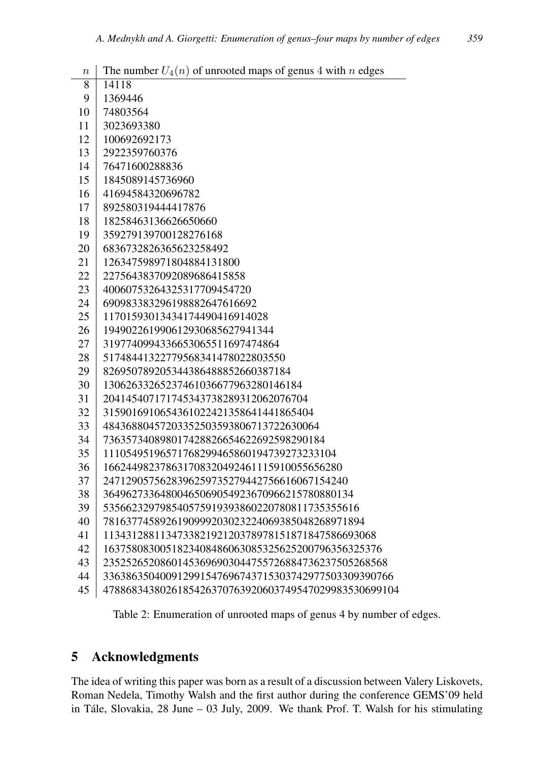| $\it n$ | The number $U_4(n)$ of unrooted maps of genus 4 with n edges |
|---------|--------------------------------------------------------------|
| 8       | 14118                                                        |
| 9       | 1369446                                                      |
| 10      | 74803564                                                     |
| 11      | 3023693380                                                   |
| 12      | 100692692173                                                 |
| 13      | 2922359760376                                                |
| 14      | 76471600288836                                               |
| 15      | 1845089145736960                                             |
| 16      | 41694584320696782                                            |
| 17      | 892580319444417876                                           |
| 18      | 18258463136626650660                                         |
| 19      | 359279139700128276168                                        |
| 20      | 6836732826365623258492                                       |
| 21      | 126347598971804884131800                                     |
| 22      | 2275643837092089686415858                                    |
| 23      | 40060753264325317709454720                                   |
| 24      | 690983383296198882647616692                                  |
| 25      | 11701593013434174490416914028                                |
| 26      | 194902261990612930685627941344                               |
| 27      | 3197740994336653065511697474864                              |
| 28      | 51748441322779568341478022803550                             |
| 29      | 826950789205344386488852660387184                            |
| 30      | 13062633265237461036677963280146184                          |
| 31      | 204145407171745343738289312062076704                         |
| 32      | 3159016910654361022421358641441865404                        |
| 33      | 48436880457203352503593806713722630064                       |
| 34      | 736357340898017428826654622692598290184                      |
| 35      | 11105495196571768299465860194739273233104                    |
| 36      | 166244982378631708320492461115910055656280                   |
| 37      | 2471290575628396259735279442756616067154240                  |
| 38      | 36496273364800465069054923670966215780880134                 |
| 39      | 535662329798540575919393860220780811735355616                |
| 40      | 7816377458926190999203023224069385048268971894               |
| 41      | 113431288113473382192120378978151871847586693068             |
| 42      | 1637580830051823408486063085325625200796356325376            |
| 43      | 23525265208601453696903044755726884736237505268568           |
| 44      | 336386350400912991547696743715303742977503309390766          |
| 45      | 4788683438026185426370763920603749547029983530699104         |

<span id="page-8-0"></span>Table 2: Enumeration of unrooted maps of genus 4 by number of edges.

# 5 Acknowledgments

l.

The idea of writing this paper was born as a result of a discussion between Valery Liskovets, Roman Nedela, Timothy Walsh and the first author during the conference GEMS'09 held in Tále, Slovakia, June – 03 July,  $2009$ . We thank Prof. T. Walsh for his stimulating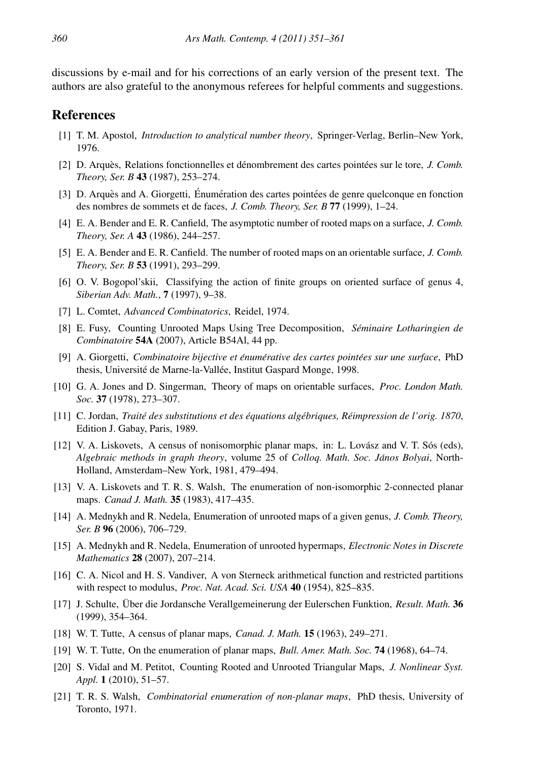discussions by e-mail and for his corrections of an early version of the present text. The authors are also grateful to the anonymous referees for helpful comments and suggestions.

## References

- <span id="page-9-15"></span>[1] T. M. Apostol, *Introduction to analytical number theory*, Springer-Verlag, Berlin–New York, 1976.
- <span id="page-9-1"></span>[2] D. Arquès, Relations fonctionnelles et dénombrement des cartes pointées sur le tore, *J. Comb. Theory, Ser. B* 43 (1987), 253–274.
- <span id="page-9-3"></span>[3] D. Arquès and A. Giorgetti, Énumération des cartes pointées de genre quelconque en fonction des nombres de sommets et de faces, *J. Comb. Theory, Ser. B* 77 (1999), 1–24.
- <span id="page-9-11"></span>[4] E. A. Bender and E. R. Canfield, The asymptotic number of rooted maps on a surface, *J. Comb. Theory, Ser. A* 43 (1986), 244–257.
- <span id="page-9-2"></span>[5] E. A. Bender and E. R. Canfield. The number of rooted maps on an orientable surface, *J. Comb. Theory, Ser. B* 53 (1991), 293–299.
- <span id="page-9-20"></span>[6] O. V. Bogopol'skii, Classifying the action of finite groups on oriented surface of genus 4, *Siberian Adv. Math.*, 7 (1997), 9–38.
- <span id="page-9-17"></span>[7] L. Comtet, *Advanced Combinatorics*, Reidel, 1974.
- <span id="page-9-7"></span>[8] E. Fusy, Counting Unrooted Maps Using Tree Decomposition, *Seminaire Lotharingien de ´ Combinatoire* 54A (2007), Article B54Al, 44 pp.
- <span id="page-9-12"></span>[9] A. Giorgetti, *Combinatoire bijective et enum ´ erative des cartes point ´ ees sur une surface ´* , PhD thesis, Université de Marne-la-Vallée, Institut Gaspard Monge, 1998.
- <span id="page-9-9"></span>[10] G. A. Jones and D. Singerman, Theory of maps on orientable surfaces, *Proc. London Math. Soc.* 37 (1978), 273–307.
- <span id="page-9-18"></span>[11] C. Jordan, *Traite des substitutions et des ´ equations alg ´ ebriques, R ´ eimpression de l'orig. 1870 ´* , Edition J. Gabay, Paris, 1989.
- <span id="page-9-4"></span> $[12]$  V. A. Liskovets, A census of nonisomorphic planar maps, in: L. Lovász and V. T. Sós (eds), *Algebraic methods in graph theory*, volume 25 of *Colloq. Math. Soc. Janos Bolyai ´* , North-Holland, Amsterdam–New York, 1981, 479–494.
- <span id="page-9-6"></span>[13] V. A. Liskovets and T. R. S. Walsh, The enumeration of non-isomorphic 2-connected planar maps. *Canad J. Math.* 35 (1983), 417–435.
- <span id="page-9-5"></span>[14] A. Mednykh and R. Nedela, Enumeration of unrooted maps of a given genus, *J. Comb. Theory, Ser. B* 96 (2006), 706–729.
- <span id="page-9-10"></span>[15] A. Mednykh and R. Nedela, Enumeration of unrooted hypermaps, *Electronic Notes in Discrete Mathematics* 28 (2007), 207–214.
- <span id="page-9-16"></span>[16] C. A. Nicol and H. S. Vandiver, A von Sterneck arithmetical function and restricted partitions with respect to modulus, *Proc. Nat. Acad. Sci. USA* 40 (1954), 825–835.
- <span id="page-9-19"></span>[17] J. Schulte, Über die Jordansche Verallgemeinerung der Eulerschen Funktion, Result. Math. 36 (1999), 354–364.
- <span id="page-9-0"></span>[18] W. T. Tutte, A census of planar maps, *Canad. J. Math.* 15 (1963), 249–271.
- <span id="page-9-13"></span>[19] W. T. Tutte, On the enumeration of planar maps, *Bull. Amer. Math. Soc.* 74 (1968), 64–74.
- <span id="page-9-8"></span>[20] S. Vidal and M. Petitot, Counting Rooted and Unrooted Triangular Maps, *J. Nonlinear Syst. Appl.* 1 (2010), 51–57.
- <span id="page-9-14"></span>[21] T. R. S. Walsh, *Combinatorial enumeration of non-planar maps*, PhD thesis, University of Toronto, 1971.